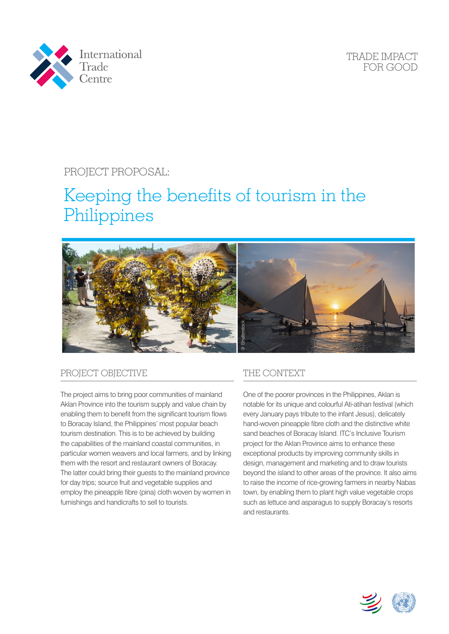

TRADE IMPACT FOR GOOD

# PROJECT PROPOSAL:

# Keeping the benefits of tourism in the Philippines



## PROJECT OBJECTIVE

The project aims to bring poor communities of mainland Aklan Province into the tourism supply and value chain by enabling them to benefit from the significant tourism flows to Boracay Island, the Philippines' most popular beach tourism destination. This is to be achieved by building the capabilities of the mainland coastal communities, in particular women weavers and local farmers, and by linking them with the resort and restaurant owners of Boracay. The latter could bring their guests to the mainland province for day trips; source fruit and vegetable supplies and employ the pineapple fibre (pina) cloth woven by women in furnishings and handicrafts to sell to tourists.

### THE CONTEXT

One of the poorer provinces in the Philippines, Aklan is notable for its unique and colourful Ati-atihan festival (which every January pays tribute to the infant Jesus), delicately hand-woven pineapple fibre cloth and the distinctive white sand beaches of Boracay Island. ITC's Inclusive Tourism project for the Aklan Province aims to enhance these exceptional products by improving community skills in design, management and marketing and to draw tourists beyond the island to other areas of the province. It also aims to raise the income of rice-growing farmers in nearby Nabas town, by enabling them to plant high value vegetable crops such as lettuce and asparagus to supply Boracay's resorts and restaurants.